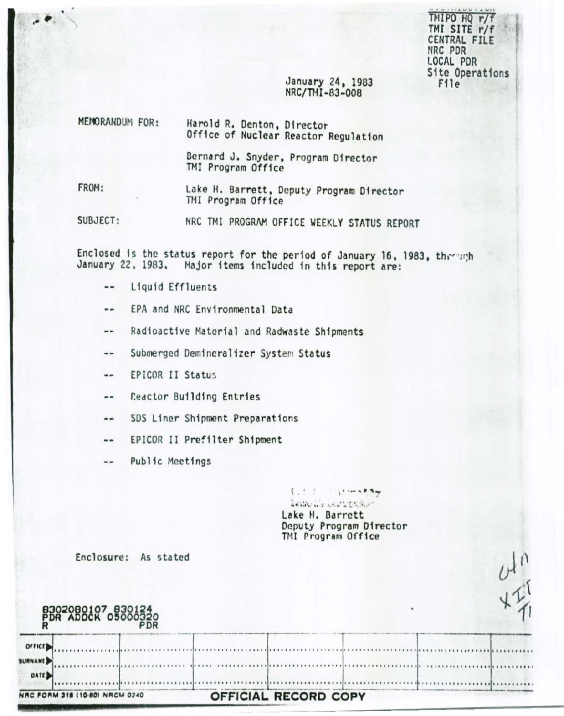TMIPO HQ r/f TMI SITE r/f CENTRAL FILE NRC PDR LOCAL PDR Site Operations File<sup>1</sup>

 $\frac{\partial}{\partial t}$ 

## January 24, 1983 NRC/THI-83-008

| MEMORANDUM FOR: | Harold R. Denton, Director<br>Office of Nuclear Reactor Regulation |
|-----------------|--------------------------------------------------------------------|
|                 | Bernard J. Snyder, Program Dinoctor                                |

, Program Director TMI Program Office

FROM:

Lake H. Barrett, Deputy Program Director TMI Program Office

SUBJECT: NRC TMI PROGRAM OFFICE WEEKLY STATUS REPORT

Enclosed is the status report for the period of January 16, 1983, through January 22, 1983. Major items included in this report are:

- Liquid Effluents  $\cdots$
- EPA and NRC Environmental Data  $\blacksquare$
- Radioactive Material and Radwaste Shipments  $\blacksquare$
- Submerged Demineralizer System Status  $\frac{1}{2}$
- EPICOR II Status  $\blacksquare$
- Reactor Building Entries  $\rightarrow$   $\rightarrow$
- SDS Liner Shipment Preparations ..
- EPICOR II Prefilter Shipment
- Public Meetings --

lease the production of Lake H. Barrett Deputy Program Director TMI Program Office

 $1.13 - 1.14$  motors

Enclosure: As stated

|                          | 8302080107 830124<br>PDR ADOCK 05000320 |                      |  |  |
|--------------------------|-----------------------------------------|----------------------|--|--|
| orrict<br><b>SURNAME</b> |                                         |                      |  |  |
| DATE <sub>P</sub>        |                                         |                      |  |  |
|                          | NRC FORM 318 (10-80) NRCM 0240          | OFFICIAL RECORD COPY |  |  |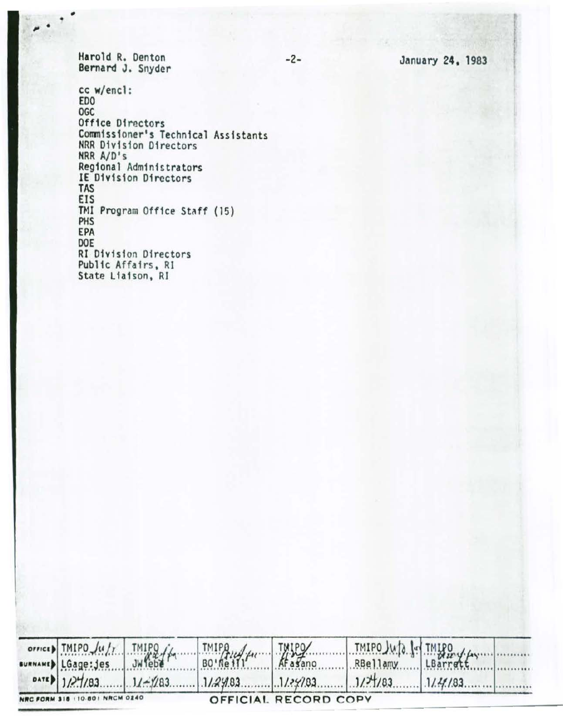January 24, 1983

Harold R. Denton<br>Bernard J. Snyder

cc w/encl: ED<sub>0</sub> OGC Office Directors Commissioner's Technical Assistants NRR Division Directors NRR A/D's<br>Regional Administrators IE Division Directors **TAS** EIS TMI Program Office Staff (15) PHS EPA DOE RI Division Directors Public Affairs, RI State Liaison, RI

|                                | $TMIPO\mu/r$ $Jw/r$ $Jw$ $f^2$ |                                                                                 | TMIPO Jup 1- TMIPO |  |
|--------------------------------|--------------------------------|---------------------------------------------------------------------------------|--------------------|--|
| sumMAMED LGage: jes            |                                |                                                                                 |                    |  |
|                                |                                | $0.177/83$ $1/27/83$ $1/4/83$ $1/29/83$ $1/29/83$ $1/29/83$ $1/27/83$ $1/49/83$ |                    |  |
| NRC FORM 318 (10.80) NRCM 0240 |                                | OFFICIAL RECORD COPY                                                            |                    |  |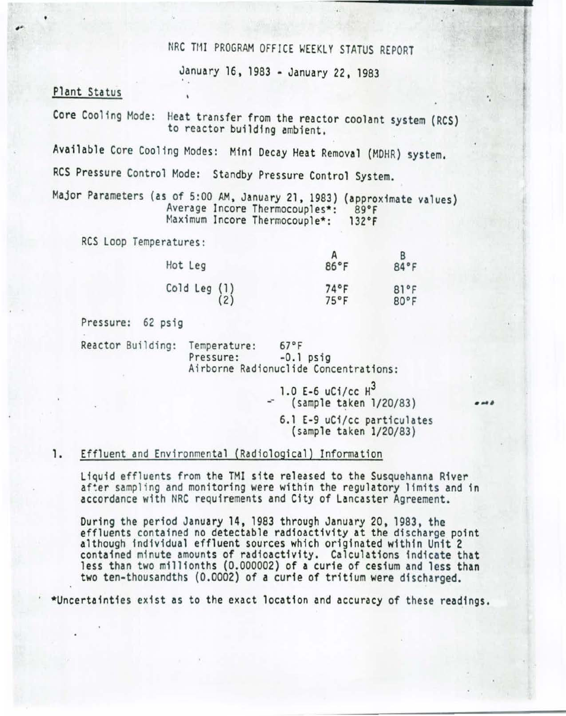# NRC TMI PROGRAM OFFICE WEEKLY STATUS REPORT

January 16, 1983 -January 22, 1983

### Plant Status

'

Core Cooling Mode: Heat transfer from the reactor coolant system (RCS) to reactor building ambient.

Available Core Cooling Modes: Mini Decay Heat Removal (MOHR) system.

RCS Pressure Control Mode: Standby Pressure Control System.

Major Parameters (as of 5:00 AM, January 21, 1983) (approximate values} Average Incore Thermocouples\*: 89°F Maximum Incore Thermocouple\*: 132°F

RCS Loop Temperatures:

| Hot Leg                                         | 86°F         | 84°F         |
|-------------------------------------------------|--------------|--------------|
| Cold Leg $\begin{pmatrix} 1 \\ 2 \end{pmatrix}$ | 74°F<br>75°F | 81°F<br>80°F |

Pressure: 62 psig

Reactor Building: Temperature: 67°F<br>Pressure: -0.1 psig Airborne Radionuclide Concentrations:

> 1.0 E-6  $uC_1$ /cc  $H^3$ (sample taken 1/20/83)

6.1 E-9 uCi/cc particulates (sample taken 1/20/83)

#### 1. Effluent and Environmental (Radiological) Information

Liquid effluents from the TMI site released to the Susquehanna River after sampling and monitoring were within the regulatory limits and in accordance with NRC requirements and City of Lancaster Agreement.

During the period January 14, 1983 through January 20, 1983, the<br>effluents contained no detectable radioactivity at the discharge point although individual effluent sources which originated within Unit 2 contained minute amounts of radioactivity. Calculations indicate that less than two millionths (0.000002) of a curie of cesium and less than two ten-thousandths (0.0002) of a curie of tritium were discharged.

\*Uncertainties exist as to the exact location and accuracy of these readings.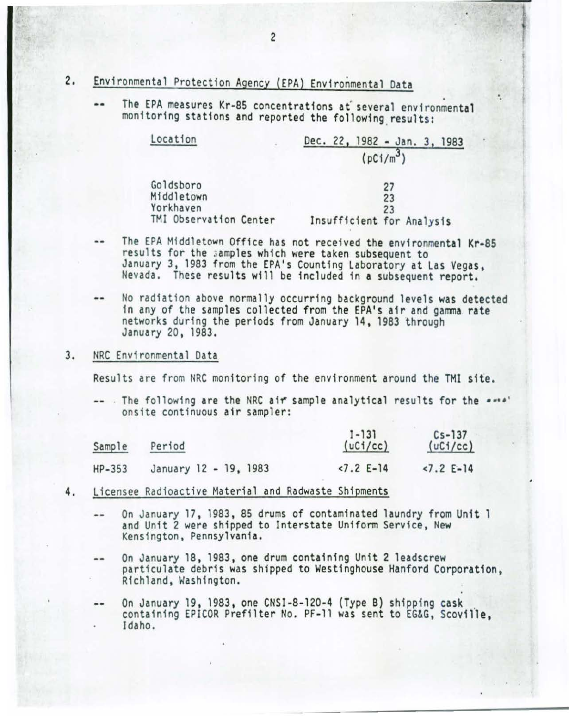- 2. Environmental Protection Agency (EPA) Environmental Data
	- The EPA measures Kr-85 concentrations at several environmental monitoring stations and reported the following results: ..

| Location                | Dec. 22, 1982 - Jan. 3, 1983 |
|-------------------------|------------------------------|
|                         | $(pCi/m^3)$                  |
| Goldsboro               | 27                           |
| Middletown<br>Yorkhaven | 23<br>23                     |
| TMI Observation Center  | Insufficient for Analysis    |

·.

- The EPA Middletown Office has not received the environmental Kr·85 results for the samples which were taken subsequent to<br>January 3, 1983 from the EPA's Counting Laboratory at Las Vegas, Nevada. These results will be included in a subsequent report.
- No radiation above normally occurring background levels was detected in any of the samples collected from the EPA's air and gamma rate networks during the periods from January 14, 1983 through<br>January 20, 1983.
- 3. NRC Environmental Data

Results are from NRC monitoring of the environment around the TMI site.

-- The following are the NRC air sample analytical results for the \*\*\*\*' onsite continuous air sampler:

| Sample   | Period                | $1 - 131$<br>(uC1/cc) | $Cs - 137$<br>(uC1/cc) |
|----------|-----------------------|-----------------------|------------------------|
| $HP-353$ | January 12 - 19, 1983 | $2.2$ E-14            | $2.2$ E-14             |

- 4. Licensee Radioactive Material and Radwaste Shipments
	- On January 17, 1983, 85 drums of contaminated laundry from Unit 1  $-1$ and Unit 2 were shipped to Interstate Uniform Service, New Kensington, Pennsylvania.
	- On January 18, 1983, one drum containing Unit 2 1eadscrew .. particulate debris was shipped to Westinghouse Hanford Corporation,<br>Richland, Washington.

On January 19, 1983, one CNSI-8-120-4 (Type B) shipping cask<br>containing EPICOR Prefilter No. PF-11 was sent to EG&G, Scoville, .. Idaho.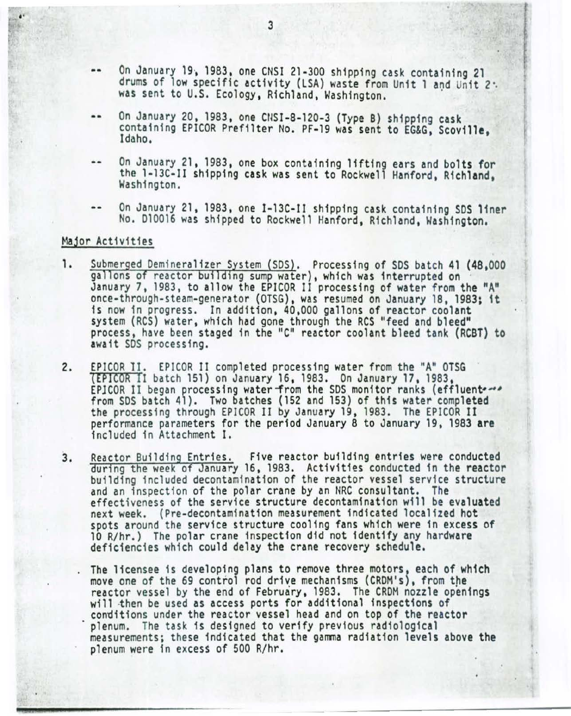- $-$ On January 19, 1983, one CNSI 21-300 shipping cask containing 21 drums of low specific activity (LSA) waste from Unit 1 and Unit *2·.*  was sent to U.S. Ecology, Richland, Washington.
- On January 20, 1983, one CIISI-8-120-3 (Type B) shipping cask containing EPICOR Prefilter No. PF-19 was sent to EG&G, Scoville, Idaho.
- On January 21. 1983, one box containing 11ft1ng ears and bolts for the 1-13C·II shipping cask was sent to Rockwell Hanford, Richland. Washington.
- On January 21. 1983, one I-13C-II shipping cask containing SDS 11ner No. 010016 was shipped to Rockwell Hanford, Richland, Washington.

#### Major Activities

- 1. Submerged Demineralizer System (SDS). Processing of SDS batch 41 (48,000 gallons of reactor building sump water), which was interrupted on January 7, 1983, to allow the EPICOR II processing of water from the "A" once-through-steam-generator (OTSG), was resumed on January 18, 1983; 1t is now in progress. In addition, 40,000 gallons of reactor coolant system (RCS) water, which had gone through the RCS "feed and bleed" process, have been staged in the ''C" reactor coolant bleed tank (RCBT) to await SDS processing.
- 2. EPICOR 11. EPICOR II completed processing water from the "A" OTSG (EPICOR II batch 151) on January 16, 1983. On January 17, 1983. from SDS batch 41). Two batches (152 and 153) of this water completed the processing through EPICOR II by January 19, 1983. The EPICOR II performa nce parameters for the period January 8 to January 19, 1983 **are**  included in Attachment I.
- 3. Reactor Building Entries. Five reactor building entries were conducted during the week of January 16, 1983. Activities conducted in the reactor building included decontamination of the reactor vessel service structure and an inspection of the polar crane by an NRC consultant. The effectiveness of the service structure decontamination will be evaluated next week. (Pre-decontamination measurement indicated localized hot spots around the service structure cooling fans which were in excess of 10 R/hr.) The po1ar crane inspection did not identify any hardware deficiencies which could delay the crane recovery schedule.
	- The licensee is developing plans to remove three motors, each of which move one of the 69 control rod drive mechanisms (CRDM's), from the reactor vessel by the end of February, 1983. The CRDM nozzle openings<br>will then be used as access ports for additional inspections of conditions under the reactor vessel head and on top of the reactor plenum. The task is designed to verify previous radiological measurements; these indicated that the gamma radiation levels above the plenum were in excess of 500 R/hr.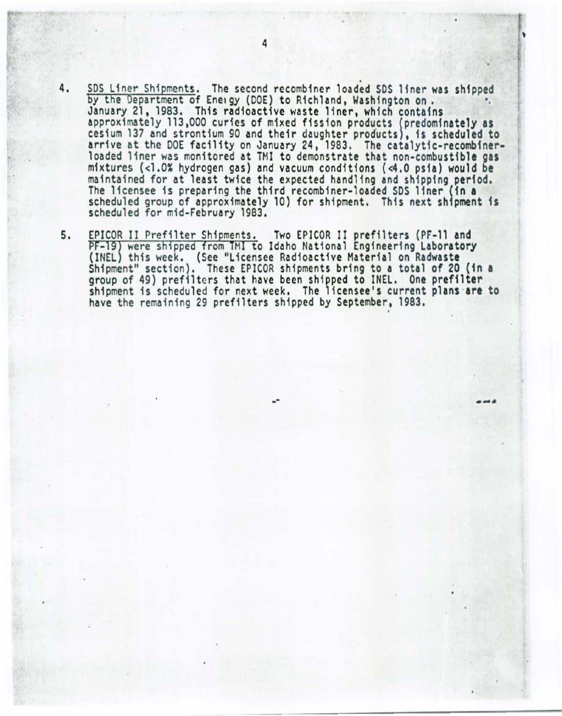- 4. SDS Liner Shipments. The second recombiner loaded SDS liner was shipped<br>by the Department of Energy (DOE) to Richland, Washington on. January 21, 1983. This radioactive waste liner, which contains approximately 113,000 curies of mixed fission products (predominately as cesium 137 and strontium 90 and their daughter products), is scheduled to arrive at the DOE facility on January 24, 1983. The catalytic-recombiner-<br>loaded liner was monitored at TMI to demonstrate that non-combustible gas<br>mixtures (<1.0% hydrogen gas) and vacuum conditions (<4.0 psia) would be mixtures (<1.0% hydrogen gas) and vacuum conditions (<4.0 psia) would be maintained for at least twice the expected handling and shipping p**eriod.**<br>The licensee is preparing the third recombiner-loaded SDS liner **(in a** scheduled group of approximately 10) for shipment. This next shipment is scheduled for mid-February 1983.
- 5. EPICOR II Prefilter Shipments. Two EPICOR II prefilters (PF-11 and<br>PF-19) were shipped from TMI to Idaho National Engineering Laboratory PF-19) were shipped from TMI to Idaho National Engineering Laboratory<br>(INEL) this week. (See "Licensee Radioactive Material on Radwaste Shipment" section). These EPICOR shipments bring to a total of 20 (in a group of 49) pref11ters that have been shipped to INEL. One prefilter shipment is scheduled for next week. The licensee's current plans **are to**  shipment is scheduled for next week. The licensee's current plans are to<br>have the remaining 29 prefilters shipped by September, 1983.

'

-- ·-·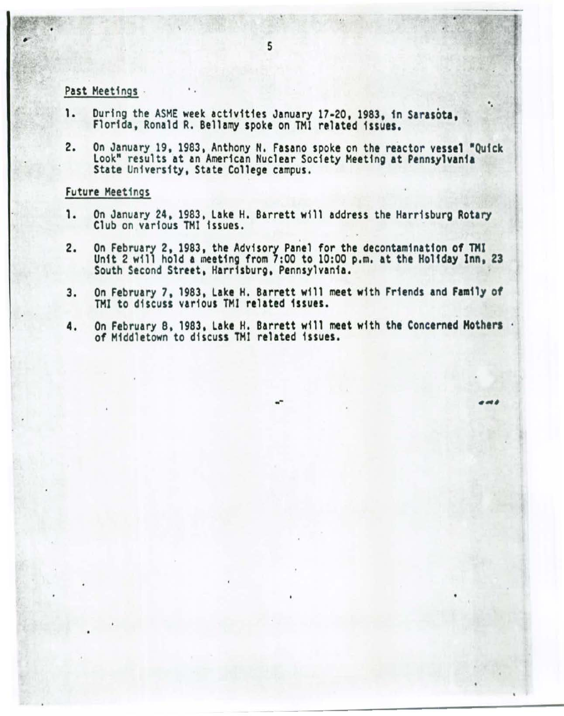#### Past Meetings

- 1. During the ASME week activities January 17-20, 1983, in Sarasota, Florida, Ronald R. Bellamy spoke on TMI related issues.
- 2. On January 19, 1983, Anthony N. Fasano spoke on the reactor vessel "Quick Look" results at an American Nuclear Society Meeting at Pennsylvania State University, State College campus.

••

**A** 

#### Future Meetings

- 1. On January 24, 1983, Lake H. Barrett will address the Harrisburg Rotary Club on various THl issues.
- 2. On February 2, 1983, the Advisory Panel for the decontamination of TMI Unit 2 will hold a meeting from 7:00 to 10:00 p.m. at the Holiday Inn, 23 South Second Street, Harrisburg, Pennsylvania.
- 3. On February 7, 1983, Lake H. Barrett will meet with Friends and Family of TMI to discuss various TMI related issues.
- 4. On February 8, 1983, Lake H. Barrett will meet with the Concerned Mothers . of Middletown to discuss THI related 1ssues.

--